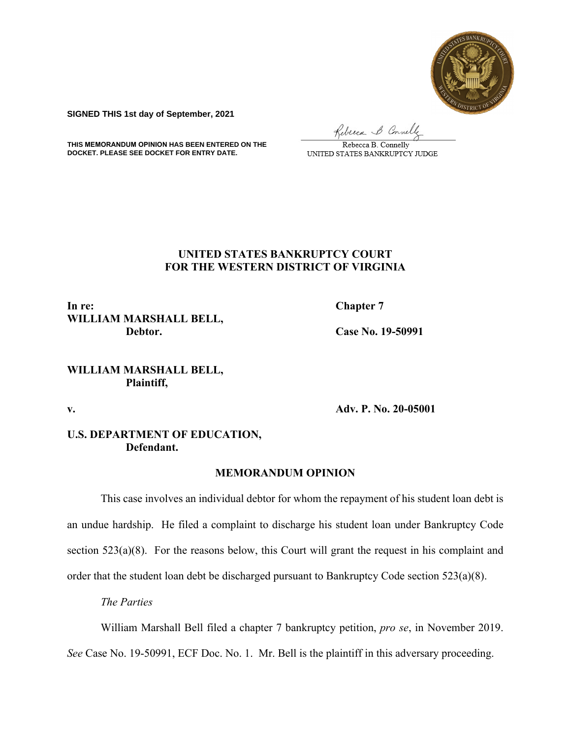

**SIGNED THIS 1st day of September, 2021**

Rebecca & Connelly

**THIS MEMORANDUM OPINION HAS BEEN ENTERED ON THE DOCKET. PLEASE SEE DOCKET FOR ENTRY DATE.**

Rebecca B. Connelly UNITED STATES BANKRUPTCY JUDGE

# **UNITED STATES BANKRUPTCY COURT FOR THE WESTERN DISTRICT OF VIRGINIA**

**In re:** Chapter 7 **WILLIAM MARSHALL BELL, Debtor. Case No. 19-50991** 

# **WILLIAM MARSHALL BELL, Plaintiff,**

**v. Adv. P. No. 20-05001** 

# **U.S. DEPARTMENT OF EDUCATION, Defendant.**

## **MEMORANDUM OPINION**

This case involves an individual debtor for whom the repayment of his student loan debt is an undue hardship. He filed a complaint to discharge his student loan under Bankruptcy Code section 523(a)(8). For the reasons below, this Court will grant the request in his complaint and order that the student loan debt be discharged pursuant to Bankruptcy Code section 523(a)(8).

*The Parties* 

William Marshall Bell filed a chapter 7 bankruptcy petition, *pro se*, in November 2019.

*See* Case No. 19-50991, ECF Doc. No. 1. Mr. Bell is the plaintiff in this adversary proceeding.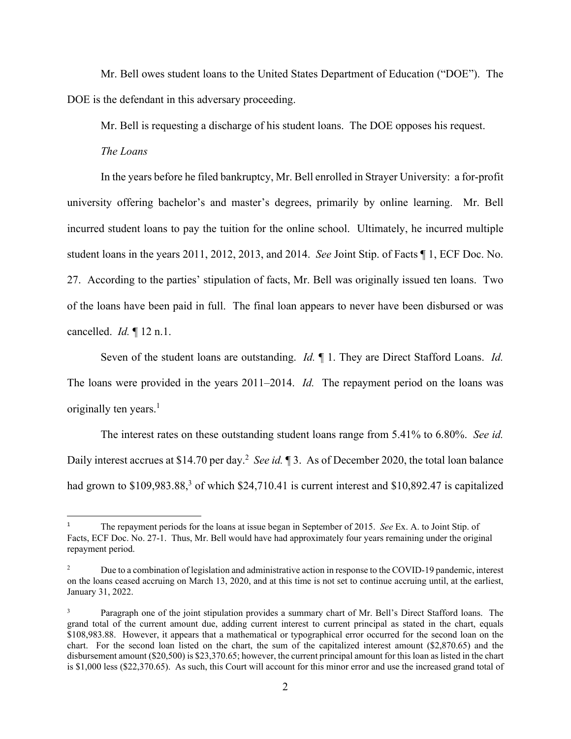Mr. Bell owes student loans to the United States Department of Education ("DOE"). The DOE is the defendant in this adversary proceeding.

Mr. Bell is requesting a discharge of his student loans. The DOE opposes his request.

*The Loans* 

 In the years before he filed bankruptcy, Mr. Bell enrolled in Strayer University: a for-profit university offering bachelor's and master's degrees, primarily by online learning. Mr. Bell incurred student loans to pay the tuition for the online school. Ultimately, he incurred multiple student loans in the years 2011, 2012, 2013, and 2014. *See* Joint Stip. of Facts ¶ 1, ECF Doc. No. 27. According to the parties' stipulation of facts, Mr. Bell was originally issued ten loans. Two of the loans have been paid in full. The final loan appears to never have been disbursed or was cancelled. *Id.* ¶ 12 n.1.

 Seven of the student loans are outstanding. *Id.* ¶ 1. They are Direct Stafford Loans. *Id.* The loans were provided in the years 2011–2014. *Id.* The repayment period on the loans was originally ten years. $<sup>1</sup>$ </sup>

 The interest rates on these outstanding student loans range from 5.41% to 6.80%. *See id.* Daily interest accrues at \$14.70 per day.<sup>2</sup> See id. 1 3. As of December 2020, the total loan balance had grown to  $$109,983.88$ <sup>3</sup> of which  $$24,710.41$  is current interest and  $$10,892.47$  is capitalized

<sup>1</sup> The repayment periods for the loans at issue began in September of 2015. *See* Ex. A. to Joint Stip. of Facts, ECF Doc. No. 27-1. Thus, Mr. Bell would have had approximately four years remaining under the original repayment period.

<sup>2</sup> Due to a combination of legislation and administrative action in response to the COVID-19 pandemic, interest on the loans ceased accruing on March 13, 2020, and at this time is not set to continue accruing until, at the earliest, January 31, 2022.

<sup>3</sup> Paragraph one of the joint stipulation provides a summary chart of Mr. Bell's Direct Stafford loans. The grand total of the current amount due, adding current interest to current principal as stated in the chart, equals \$108,983.88. However, it appears that a mathematical or typographical error occurred for the second loan on the chart. For the second loan listed on the chart, the sum of the capitalized interest amount (\$2,870.65) and the disbursement amount (\$20,500) is \$23,370.65; however, the current principal amount for this loan as listed in the chart is \$1,000 less (\$22,370.65). As such, this Court will account for this minor error and use the increased grand total of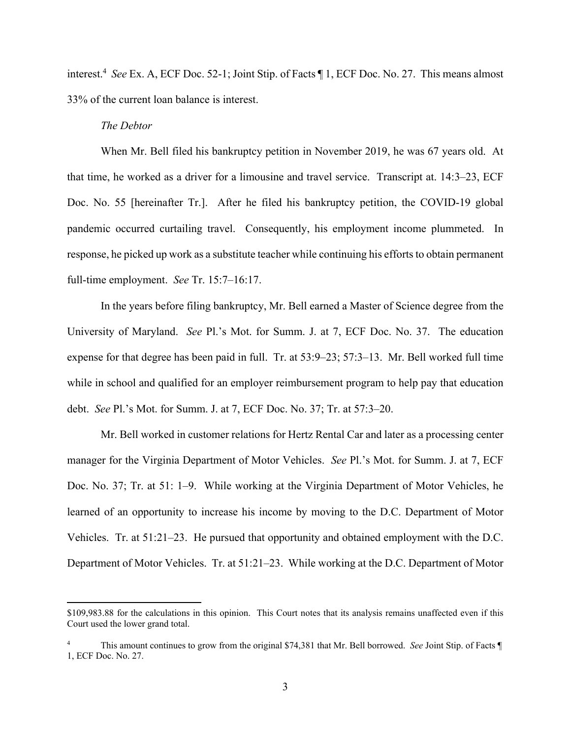interest.4 *See* Ex. A, ECF Doc. 52-1; Joint Stip. of Facts ¶ 1, ECF Doc. No. 27. This means almost 33% of the current loan balance is interest.

### *The Debtor*

When Mr. Bell filed his bankruptcy petition in November 2019, he was 67 years old. At that time, he worked as a driver for a limousine and travel service. Transcript at. 14:3–23, ECF Doc. No. 55 [hereinafter Tr.]. After he filed his bankruptcy petition, the COVID-19 global pandemic occurred curtailing travel. Consequently, his employment income plummeted. In response, he picked up work as a substitute teacher while continuing his efforts to obtain permanent full-time employment. *See* Tr. 15:7–16:17.

 In the years before filing bankruptcy, Mr. Bell earned a Master of Science degree from the University of Maryland. *See* Pl.'s Mot. for Summ. J. at 7, ECF Doc. No. 37. The education expense for that degree has been paid in full. Tr. at 53:9–23; 57:3–13. Mr. Bell worked full time while in school and qualified for an employer reimbursement program to help pay that education debt. *See* Pl.'s Mot. for Summ. J. at 7, ECF Doc. No. 37; Tr. at 57:3–20.

 Mr. Bell worked in customer relations for Hertz Rental Car and later as a processing center manager for the Virginia Department of Motor Vehicles. *See* Pl.'s Mot. for Summ. J. at 7, ECF Doc. No. 37; Tr. at 51: 1–9. While working at the Virginia Department of Motor Vehicles, he learned of an opportunity to increase his income by moving to the D.C. Department of Motor Vehicles. Tr. at 51:21–23. He pursued that opportunity and obtained employment with the D.C. Department of Motor Vehicles. Tr. at 51:21–23. While working at the D.C. Department of Motor

<sup>\$109,983.88</sup> for the calculations in this opinion. This Court notes that its analysis remains unaffected even if this Court used the lower grand total.

<sup>4</sup> This amount continues to grow from the original \$74,381 that Mr. Bell borrowed. *See* Joint Stip. of Facts ¶ 1, ECF Doc. No. 27.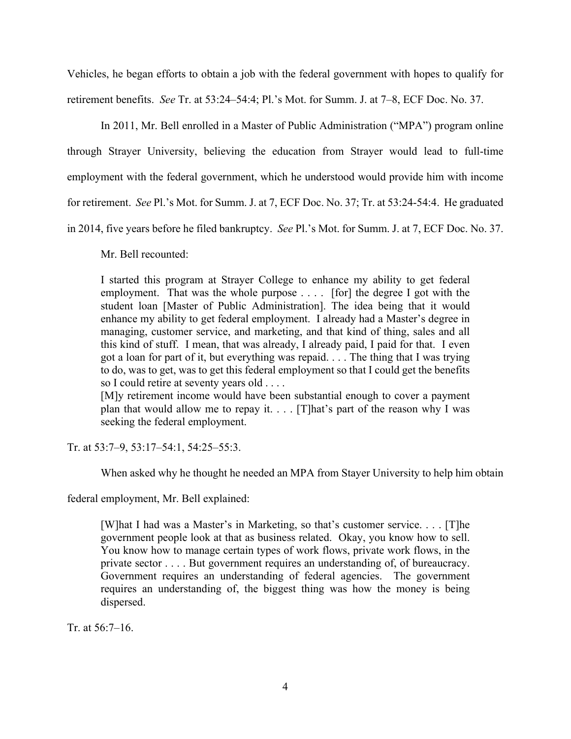Vehicles, he began efforts to obtain a job with the federal government with hopes to qualify for retirement benefits. *See* Tr. at 53:24–54:4; Pl.'s Mot. for Summ. J. at 7–8, ECF Doc. No. 37.

 In 2011, Mr. Bell enrolled in a Master of Public Administration ("MPA") program online through Strayer University, believing the education from Strayer would lead to full-time employment with the federal government, which he understood would provide him with income for retirement. *See* Pl.'s Mot. for Summ. J. at 7, ECF Doc. No. 37; Tr. at 53:24-54:4. He graduated in 2014, five years before he filed bankruptcy. *See* Pl.'s Mot. for Summ. J. at 7, ECF Doc. No. 37.

Mr. Bell recounted:

I started this program at Strayer College to enhance my ability to get federal employment. That was the whole purpose . . . . [for] the degree I got with the student loan [Master of Public Administration]. The idea being that it would enhance my ability to get federal employment. I already had a Master's degree in managing, customer service, and marketing, and that kind of thing, sales and all this kind of stuff. I mean, that was already, I already paid, I paid for that. I even got a loan for part of it, but everything was repaid. . . . The thing that I was trying to do, was to get, was to get this federal employment so that I could get the benefits so I could retire at seventy years old . . . .

[M]y retirement income would have been substantial enough to cover a payment plan that would allow me to repay it.  $\ldots$  [T]hat's part of the reason why I was seeking the federal employment.

Tr. at 53:7–9, 53:17–54:1, 54:25–55:3.

When asked why he thought he needed an MPA from Stayer University to help him obtain

federal employment, Mr. Bell explained:

[W]hat I had was a Master's in Marketing, so that's customer service. . . . [T]he government people look at that as business related. Okay, you know how to sell. You know how to manage certain types of work flows, private work flows, in the private sector . . . . But government requires an understanding of, of bureaucracy. Government requires an understanding of federal agencies. The government requires an understanding of, the biggest thing was how the money is being dispersed.

Tr. at 56:7–16.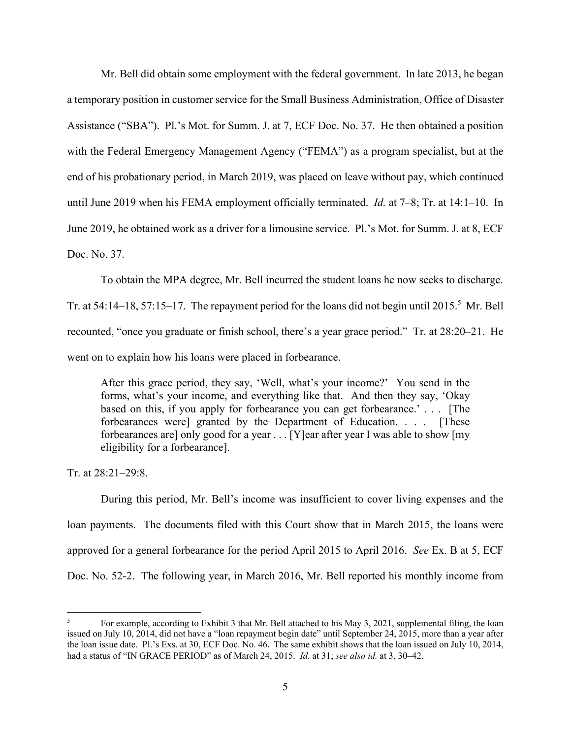Mr. Bell did obtain some employment with the federal government. In late 2013, he began a temporary position in customer service for the Small Business Administration, Office of Disaster Assistance ("SBA"). Pl.'s Mot. for Summ. J. at 7, ECF Doc. No. 37. He then obtained a position with the Federal Emergency Management Agency ("FEMA") as a program specialist, but at the end of his probationary period, in March 2019, was placed on leave without pay, which continued until June 2019 when his FEMA employment officially terminated. *Id.* at 7–8; Tr. at 14:1–10. In June 2019, he obtained work as a driver for a limousine service. Pl.'s Mot. for Summ. J. at 8, ECF Doc. No. 37.

 To obtain the MPA degree, Mr. Bell incurred the student loans he now seeks to discharge. Tr. at 54:14–18, 57:15–17. The repayment period for the loans did not begin until 2015.<sup>5</sup> Mr. Bell recounted, "once you graduate or finish school, there's a year grace period." Tr. at 28:20–21. He went on to explain how his loans were placed in forbearance.

After this grace period, they say, 'Well, what's your income?' You send in the forms, what's your income, and everything like that. And then they say, 'Okay based on this, if you apply for forbearance you can get forbearance.' . . . [The forbearances were] granted by the Department of Education. . . . [These forbearances are] only good for a year . . . [Y]ear after year I was able to show [my eligibility for a forbearance].

Tr. at 28:21–29:8.

 During this period, Mr. Bell's income was insufficient to cover living expenses and the loan payments. The documents filed with this Court show that in March 2015, the loans were approved for a general forbearance for the period April 2015 to April 2016. *See* Ex. B at 5, ECF Doc. No. 52-2. The following year, in March 2016, Mr. Bell reported his monthly income from

<sup>5</sup> For example, according to Exhibit 3 that Mr. Bell attached to his May 3, 2021, supplemental filing, the loan issued on July 10, 2014, did not have a "loan repayment begin date" until September 24, 2015, more than a year after the loan issue date. Pl.'s Exs. at 30, ECF Doc. No. 46. The same exhibit shows that the loan issued on July 10, 2014, had a status of "IN GRACE PERIOD" as of March 24, 2015. *Id.* at 31; *see also id.* at 3, 30–42.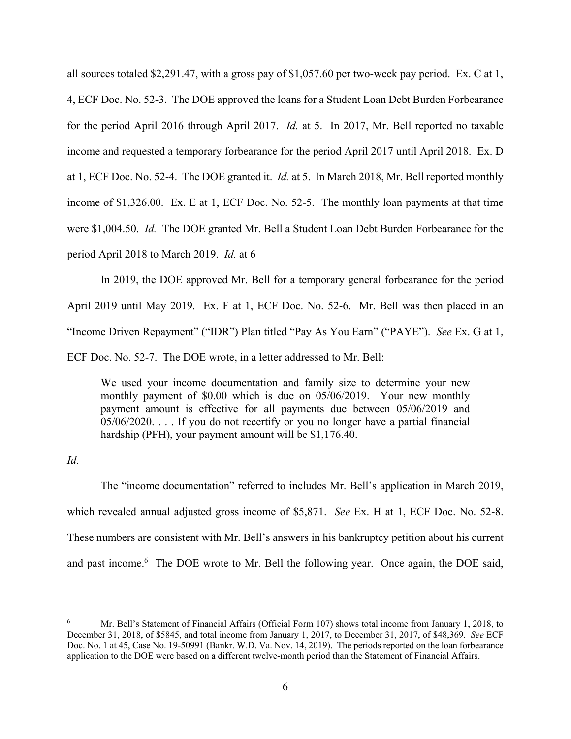all sources totaled \$2,291.47, with a gross pay of \$1,057.60 per two-week pay period. Ex. C at 1, 4, ECF Doc. No. 52-3. The DOE approved the loans for a Student Loan Debt Burden Forbearance for the period April 2016 through April 2017. *Id.* at 5. In 2017, Mr. Bell reported no taxable income and requested a temporary forbearance for the period April 2017 until April 2018. Ex. D at 1, ECF Doc. No. 52-4. The DOE granted it. *Id.* at 5. In March 2018, Mr. Bell reported monthly income of \$1,326.00. Ex. E at 1, ECF Doc. No. 52-5. The monthly loan payments at that time were \$1,004.50. *Id.* The DOE granted Mr. Bell a Student Loan Debt Burden Forbearance for the period April 2018 to March 2019. *Id.* at 6

 In 2019, the DOE approved Mr. Bell for a temporary general forbearance for the period April 2019 until May 2019. Ex. F at 1, ECF Doc. No. 52-6. Mr. Bell was then placed in an "Income Driven Repayment" ("IDR") Plan titled "Pay As You Earn" ("PAYE"). *See* Ex. G at 1, ECF Doc. No. 52-7. The DOE wrote, in a letter addressed to Mr. Bell:

We used your income documentation and family size to determine your new monthly payment of \$0.00 which is due on 05/06/2019. Your new monthly payment amount is effective for all payments due between 05/06/2019 and 05/06/2020. . . . If you do not recertify or you no longer have a partial financial hardship (PFH), your payment amount will be \$1,176.40.

*Id.* 

 The "income documentation" referred to includes Mr. Bell's application in March 2019, which revealed annual adjusted gross income of \$5,871. *See* Ex. H at 1, ECF Doc. No. 52-8. These numbers are consistent with Mr. Bell's answers in his bankruptcy petition about his current and past income.<sup>6</sup> The DOE wrote to Mr. Bell the following year. Once again, the DOE said,

<sup>6</sup> Mr. Bell's Statement of Financial Affairs (Official Form 107) shows total income from January 1, 2018, to December 31, 2018, of \$5845, and total income from January 1, 2017, to December 31, 2017, of \$48,369. *See* ECF Doc. No. 1 at 45, Case No. 19-50991 (Bankr. W.D. Va. Nov. 14, 2019). The periods reported on the loan forbearance application to the DOE were based on a different twelve-month period than the Statement of Financial Affairs.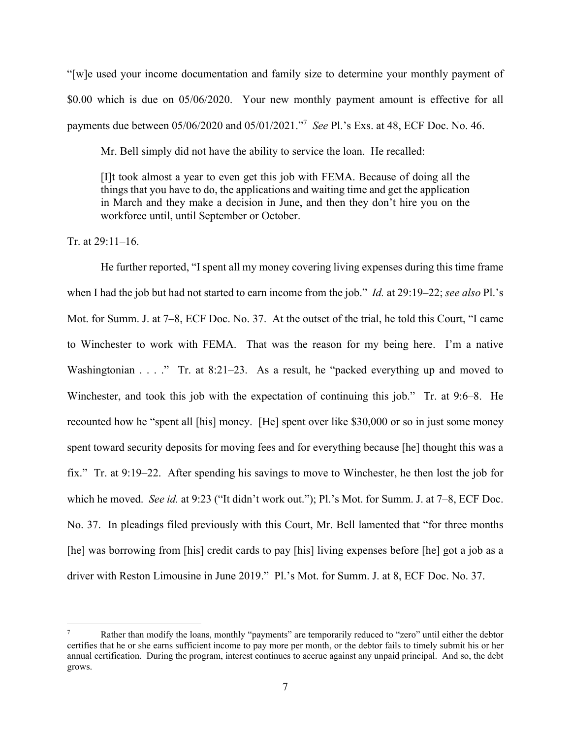"[w]e used your income documentation and family size to determine your monthly payment of \$0.00 which is due on 05/06/2020. Your new monthly payment amount is effective for all payments due between 05/06/2020 and 05/01/2021."7 *See* Pl.'s Exs. at 48, ECF Doc. No. 46.

Mr. Bell simply did not have the ability to service the loan. He recalled:

[I]t took almost a year to even get this job with FEMA. Because of doing all the things that you have to do, the applications and waiting time and get the application in March and they make a decision in June, and then they don't hire you on the workforce until, until September or October.

# Tr. at 29:11–16.

 He further reported, "I spent all my money covering living expenses during this time frame when I had the job but had not started to earn income from the job." *Id.* at 29:19–22; *see also* Pl.'s Mot. for Summ. J. at 7–8, ECF Doc. No. 37. At the outset of the trial, he told this Court, "I came to Winchester to work with FEMA. That was the reason for my being here. I'm a native Washingtonian . . . ." Tr. at 8:21-23. As a result, he "packed everything up and moved to Winchester, and took this job with the expectation of continuing this job." Tr. at 9:6–8. He recounted how he "spent all [his] money. [He] spent over like \$30,000 or so in just some money spent toward security deposits for moving fees and for everything because [he] thought this was a fix." Tr. at 9:19–22. After spending his savings to move to Winchester, he then lost the job for which he moved. *See id.* at 9:23 ("It didn't work out."); Pl.'s Mot. for Summ. J. at 7–8, ECF Doc. No. 37. In pleadings filed previously with this Court, Mr. Bell lamented that "for three months [he] was borrowing from [his] credit cards to pay [his] living expenses before [he] got a job as a driver with Reston Limousine in June 2019." Pl.'s Mot. for Summ. J. at 8, ECF Doc. No. 37.

<sup>7</sup> Rather than modify the loans, monthly "payments" are temporarily reduced to "zero" until either the debtor certifies that he or she earns sufficient income to pay more per month, or the debtor fails to timely submit his or her annual certification. During the program, interest continues to accrue against any unpaid principal. And so, the debt grows.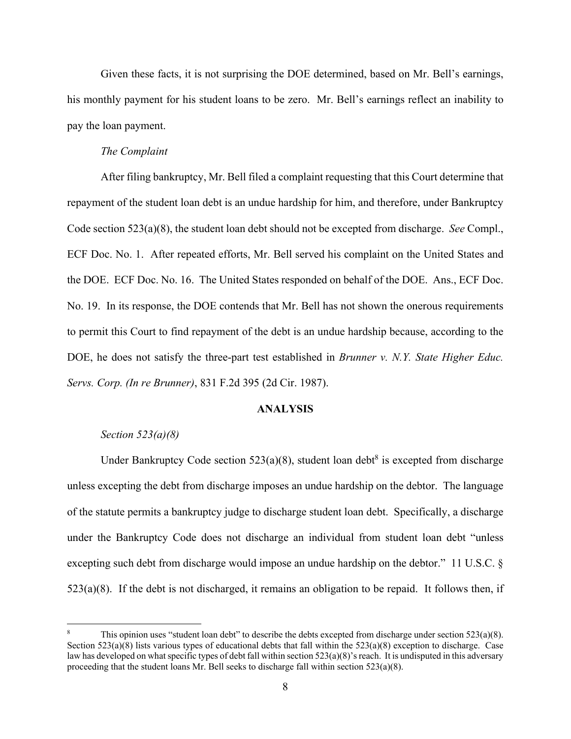Given these facts, it is not surprising the DOE determined, based on Mr. Bell's earnings, his monthly payment for his student loans to be zero. Mr. Bell's earnings reflect an inability to pay the loan payment.

### *The Complaint*

 After filing bankruptcy, Mr. Bell filed a complaint requesting that this Court determine that repayment of the student loan debt is an undue hardship for him, and therefore, under Bankruptcy Code section 523(a)(8), the student loan debt should not be excepted from discharge. *See* Compl., ECF Doc. No. 1. After repeated efforts, Mr. Bell served his complaint on the United States and the DOE. ECF Doc. No. 16. The United States responded on behalf of the DOE. Ans., ECF Doc. No. 19. In its response, the DOE contends that Mr. Bell has not shown the onerous requirements to permit this Court to find repayment of the debt is an undue hardship because, according to the DOE, he does not satisfy the three-part test established in *Brunner v. N.Y. State Higher Educ. Servs. Corp. (In re Brunner)*, 831 F.2d 395 (2d Cir. 1987).

#### **ANALYSIS**

### *Section 523(a)(8)*

Under Bankruptcy Code section  $523(a)(8)$ , student loan debt<sup>8</sup> is excepted from discharge unless excepting the debt from discharge imposes an undue hardship on the debtor. The language of the statute permits a bankruptcy judge to discharge student loan debt. Specifically, a discharge under the Bankruptcy Code does not discharge an individual from student loan debt "unless excepting such debt from discharge would impose an undue hardship on the debtor." 11 U.S.C. § 523(a)(8). If the debt is not discharged, it remains an obligation to be repaid. It follows then, if

<sup>8</sup> This opinion uses "student loan debt" to describe the debts excepted from discharge under section 523(a)(8). Section 523(a)(8) lists various types of educational debts that fall within the  $523(a)(8)$  exception to discharge. Case law has developed on what specific types of debt fall within section  $523(a)(8)$ 's reach. It is undisputed in this adversary proceeding that the student loans Mr. Bell seeks to discharge fall within section 523(a)(8).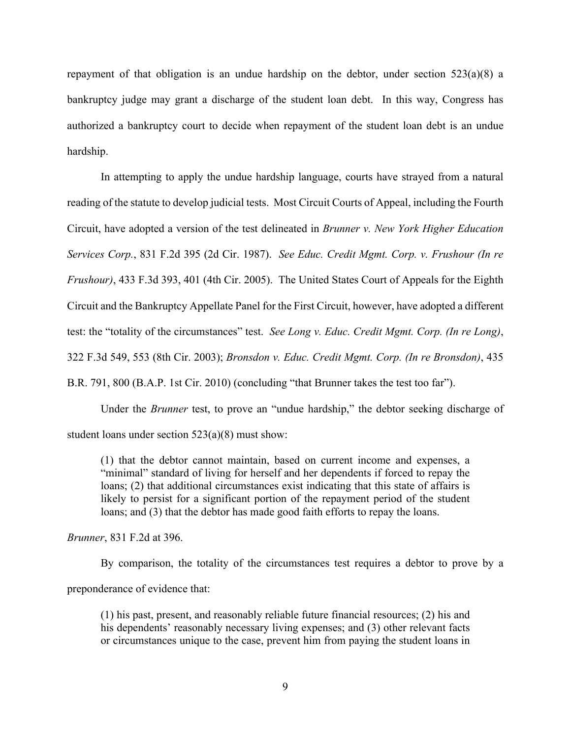repayment of that obligation is an undue hardship on the debtor, under section 523(a)(8) a bankruptcy judge may grant a discharge of the student loan debt. In this way, Congress has authorized a bankruptcy court to decide when repayment of the student loan debt is an undue hardship.

 In attempting to apply the undue hardship language, courts have strayed from a natural reading of the statute to develop judicial tests. Most Circuit Courts of Appeal, including the Fourth Circuit, have adopted a version of the test delineated in *Brunner v. New York Higher Education Services Corp.*, 831 F.2d 395 (2d Cir. 1987). *See Educ. Credit Mgmt. Corp. v. Frushour (In re Frushour)*, 433 F.3d 393, 401 (4th Cir. 2005). The United States Court of Appeals for the Eighth Circuit and the Bankruptcy Appellate Panel for the First Circuit, however, have adopted a different test: the "totality of the circumstances" test. *See Long v. Educ. Credit Mgmt. Corp. (In re Long)*, 322 F.3d 549, 553 (8th Cir. 2003); *Bronsdon v. Educ. Credit Mgmt. Corp. (In re Bronsdon)*, 435

B.R. 791, 800 (B.A.P. 1st Cir. 2010) (concluding "that Brunner takes the test too far").

 Under the *Brunner* test, to prove an "undue hardship," the debtor seeking discharge of student loans under section 523(a)(8) must show:

(1) that the debtor cannot maintain, based on current income and expenses, a "minimal" standard of living for herself and her dependents if forced to repay the loans; (2) that additional circumstances exist indicating that this state of affairs is likely to persist for a significant portion of the repayment period of the student loans; and (3) that the debtor has made good faith efforts to repay the loans.

*Brunner*, 831 F.2d at 396.

 By comparison, the totality of the circumstances test requires a debtor to prove by a preponderance of evidence that:

(1) his past, present, and reasonably reliable future financial resources; (2) his and his dependents' reasonably necessary living expenses; and (3) other relevant facts or circumstances unique to the case, prevent him from paying the student loans in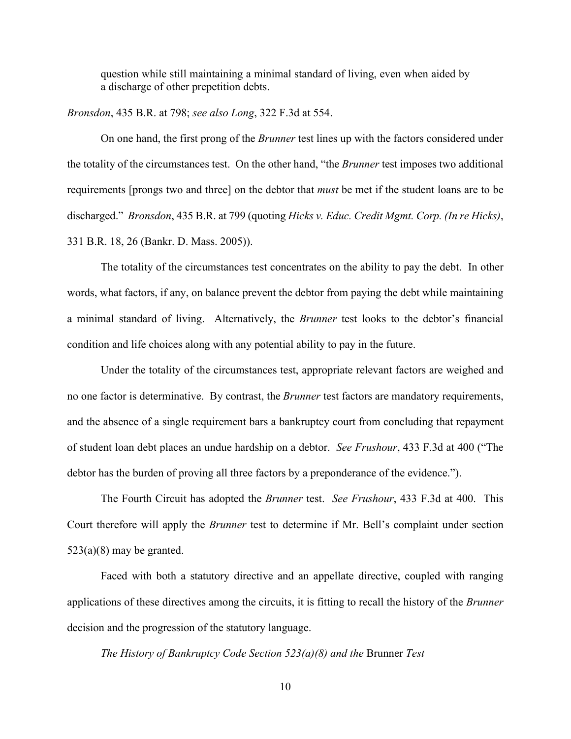question while still maintaining a minimal standard of living, even when aided by a discharge of other prepetition debts.

*Bronsdon*, 435 B.R. at 798; *see also Long*, 322 F.3d at 554.

 On one hand, the first prong of the *Brunner* test lines up with the factors considered under the totality of the circumstances test. On the other hand, "the *Brunner* test imposes two additional requirements [prongs two and three] on the debtor that *must* be met if the student loans are to be discharged." *Bronsdon*, 435 B.R. at 799 (quoting *Hicks v. Educ. Credit Mgmt. Corp. (In re Hicks)*, 331 B.R. 18, 26 (Bankr. D. Mass. 2005)).

The totality of the circumstances test concentrates on the ability to pay the debt. In other words, what factors, if any, on balance prevent the debtor from paying the debt while maintaining a minimal standard of living. Alternatively, the *Brunner* test looks to the debtor's financial condition and life choices along with any potential ability to pay in the future.

Under the totality of the circumstances test, appropriate relevant factors are weighed and no one factor is determinative. By contrast, the *Brunner* test factors are mandatory requirements, and the absence of a single requirement bars a bankruptcy court from concluding that repayment of student loan debt places an undue hardship on a debtor. *See Frushour*, 433 F.3d at 400 ("The debtor has the burden of proving all three factors by a preponderance of the evidence.").

 The Fourth Circuit has adopted the *Brunner* test. *See Frushour*, 433 F.3d at 400. This Court therefore will apply the *Brunner* test to determine if Mr. Bell's complaint under section  $523(a)(8)$  may be granted.

 Faced with both a statutory directive and an appellate directive, coupled with ranging applications of these directives among the circuits, it is fitting to recall the history of the *Brunner*  decision and the progression of the statutory language.

*The History of Bankruptcy Code Section 523(a)(8) and the* Brunner *Test*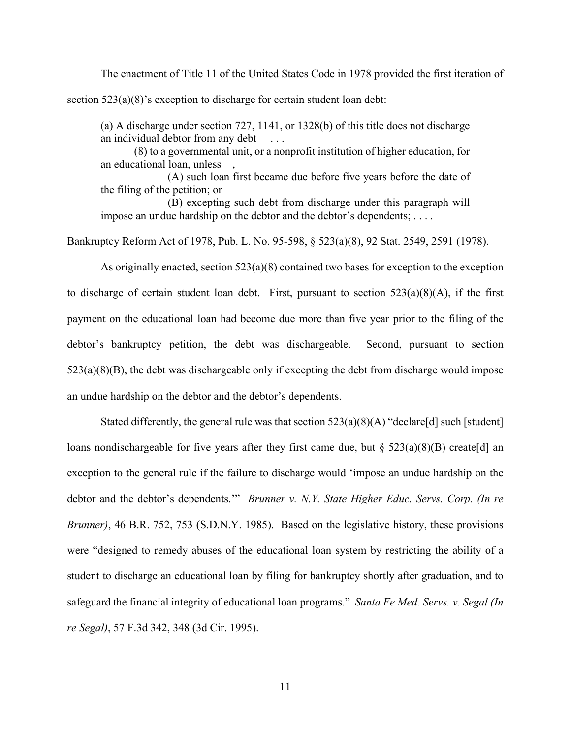The enactment of Title 11 of the United States Code in 1978 provided the first iteration of section 523(a)(8)'s exception to discharge for certain student loan debt:

(a) A discharge under section 727, 1141, or 1328(b) of this title does not discharge an individual debtor from any debt— . . .

 (8) to a governmental unit, or a nonprofit institution of higher education, for an educational loan, unless—,

 (A) such loan first became due before five years before the date of the filing of the petition; or

 (B) excepting such debt from discharge under this paragraph will impose an undue hardship on the debtor and the debtor's dependents; ....

Bankruptcy Reform Act of 1978, Pub. L. No. 95-598, § 523(a)(8), 92 Stat. 2549, 2591 (1978).

 As originally enacted, section 523(a)(8) contained two bases for exception to the exception to discharge of certain student loan debt. First, pursuant to section  $523(a)(8)(A)$ , if the first payment on the educational loan had become due more than five year prior to the filing of the debtor's bankruptcy petition, the debt was dischargeable. Second, pursuant to section 523(a)(8)(B), the debt was dischargeable only if excepting the debt from discharge would impose an undue hardship on the debtor and the debtor's dependents.

Stated differently, the general rule was that section  $523(a)(8)(A)$  "declare[d] such [student] loans nondischargeable for five years after they first came due, but  $\S$  523(a)(8)(B) create[d] an exception to the general rule if the failure to discharge would 'impose an undue hardship on the debtor and the debtor's dependents.'" *Brunner v. N.Y. State Higher Educ. Servs. Corp. (In re Brunner)*, 46 B.R. 752, 753 (S.D.N.Y. 1985). Based on the legislative history, these provisions were "designed to remedy abuses of the educational loan system by restricting the ability of a student to discharge an educational loan by filing for bankruptcy shortly after graduation, and to safeguard the financial integrity of educational loan programs." *Santa Fe Med. Servs. v. Segal (In re Segal)*, 57 F.3d 342, 348 (3d Cir. 1995).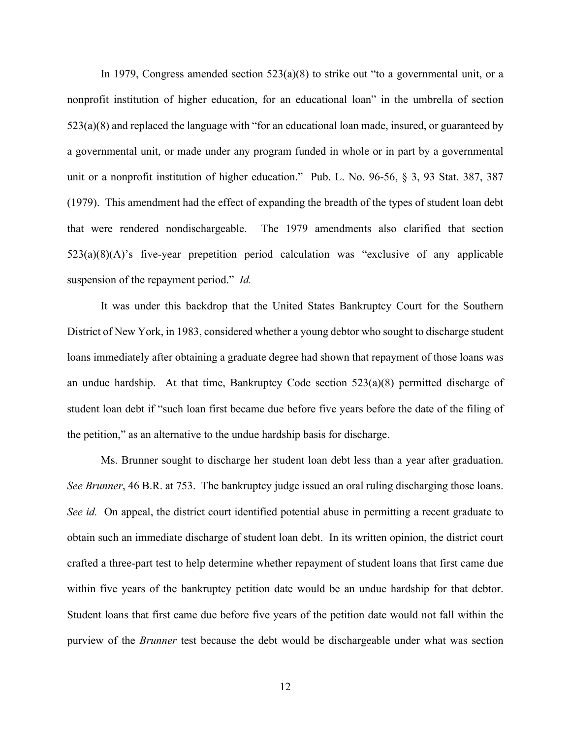In 1979, Congress amended section 523(a)(8) to strike out "to a governmental unit, or a nonprofit institution of higher education, for an educational loan" in the umbrella of section 523(a)(8) and replaced the language with "for an educational loan made, insured, or guaranteed by a governmental unit, or made under any program funded in whole or in part by a governmental unit or a nonprofit institution of higher education." Pub. L. No. 96-56, § 3, 93 Stat. 387, 387 (1979). This amendment had the effect of expanding the breadth of the types of student loan debt that were rendered nondischargeable. The 1979 amendments also clarified that section 523(a)(8)(A)'s five-year prepetition period calculation was "exclusive of any applicable suspension of the repayment period." *Id.* 

It was under this backdrop that the United States Bankruptcy Court for the Southern District of New York, in 1983, considered whether a young debtor who sought to discharge student loans immediately after obtaining a graduate degree had shown that repayment of those loans was an undue hardship. At that time, Bankruptcy Code section  $523(a)(8)$  permitted discharge of student loan debt if "such loan first became due before five years before the date of the filing of the petition," as an alternative to the undue hardship basis for discharge.

 Ms. Brunner sought to discharge her student loan debt less than a year after graduation. *See Brunner*, 46 B.R. at 753.The bankruptcy judge issued an oral ruling discharging those loans. *See id.* On appeal, the district court identified potential abuse in permitting a recent graduate to obtain such an immediate discharge of student loan debt. In its written opinion, the district court crafted a three-part test to help determine whether repayment of student loans that first came due within five years of the bankruptcy petition date would be an undue hardship for that debtor. Student loans that first came due before five years of the petition date would not fall within the purview of the *Brunner* test because the debt would be dischargeable under what was section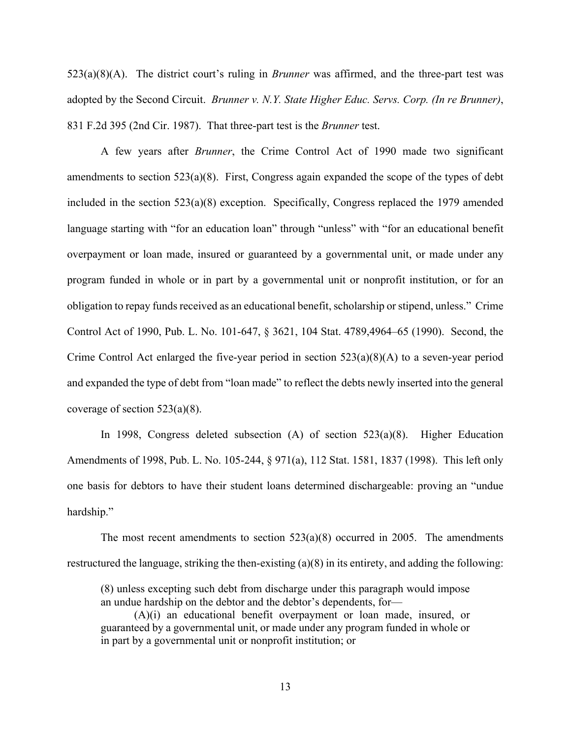523(a)(8)(A). The district court's ruling in *Brunner* was affirmed, and the three-part test was adopted by the Second Circuit. *Brunner v. N.Y. State Higher Educ. Servs. Corp. (In re Brunner)*, 831 F.2d 395 (2nd Cir. 1987). That three-part test is the *Brunner* test.

 A few years after *Brunner*, the Crime Control Act of 1990 made two significant amendments to section 523(a)(8). First, Congress again expanded the scope of the types of debt included in the section 523(a)(8) exception. Specifically, Congress replaced the 1979 amended language starting with "for an education loan" through "unless" with "for an educational benefit overpayment or loan made, insured or guaranteed by a governmental unit, or made under any program funded in whole or in part by a governmental unit or nonprofit institution, or for an obligation to repay funds received as an educational benefit, scholarship or stipend, unless." Crime Control Act of 1990, Pub. L. No. 101-647, § 3621, 104 Stat. 4789,4964–65 (1990). Second, the Crime Control Act enlarged the five-year period in section 523(a)(8)(A) to a seven-year period and expanded the type of debt from "loan made" to reflect the debts newly inserted into the general coverage of section 523(a)(8).

 In 1998, Congress deleted subsection (A) of section 523(a)(8). Higher Education Amendments of 1998, Pub. L. No. 105-244, § 971(a), 112 Stat. 1581, 1837 (1998). This left only one basis for debtors to have their student loans determined dischargeable: proving an "undue hardship."

The most recent amendments to section  $523(a)(8)$  occurred in 2005. The amendments restructured the language, striking the then-existing (a)(8) in its entirety, and adding the following:

(8) unless excepting such debt from discharge under this paragraph would impose an undue hardship on the debtor and the debtor's dependents, for—

 (A)(i) an educational benefit overpayment or loan made, insured, or guaranteed by a governmental unit, or made under any program funded in whole or in part by a governmental unit or nonprofit institution; or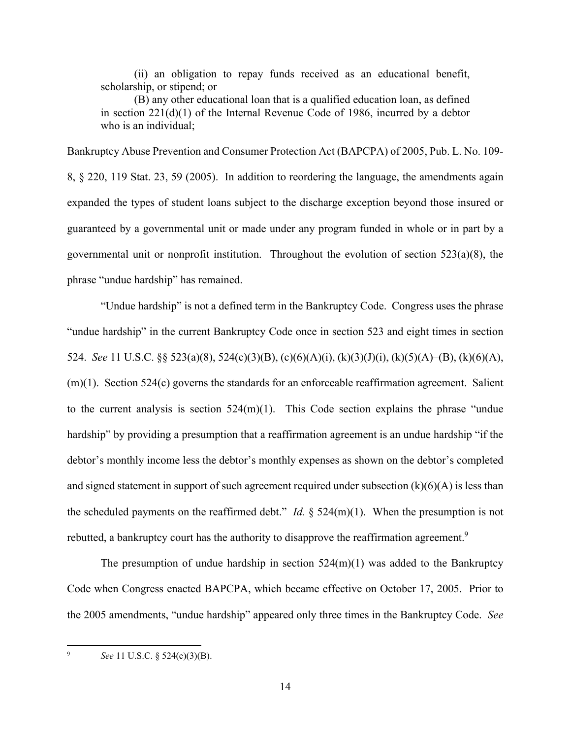(ii) an obligation to repay funds received as an educational benefit, scholarship, or stipend; or

 (B) any other educational loan that is a qualified education loan, as defined in section 221(d)(1) of the Internal Revenue Code of 1986, incurred by a debtor who is an individual;

Bankruptcy Abuse Prevention and Consumer Protection Act (BAPCPA) of 2005, Pub. L. No. 109- 8, § 220, 119 Stat. 23, 59 (2005). In addition to reordering the language, the amendments again expanded the types of student loans subject to the discharge exception beyond those insured or guaranteed by a governmental unit or made under any program funded in whole or in part by a governmental unit or nonprofit institution. Throughout the evolution of section 523(a)(8), the phrase "undue hardship" has remained.

 "Undue hardship" is not a defined term in the Bankruptcy Code. Congress uses the phrase "undue hardship" in the current Bankruptcy Code once in section 523 and eight times in section 524. *See* 11 U.S.C. §§ 523(a)(8), 524(c)(3)(B), (c)(6)(A)(i), (k)(3)(J)(i), (k)(5)(A)–(B), (k)(6)(A),  $(m)(1)$ . Section 524 $(c)$  governs the standards for an enforceable reaffirmation agreement. Salient to the current analysis is section  $524(m)(1)$ . This Code section explains the phrase "undue" hardship" by providing a presumption that a reaffirmation agreement is an undue hardship "if the debtor's monthly income less the debtor's monthly expenses as shown on the debtor's completed and signed statement in support of such agreement required under subsection  $(k)(6)(A)$  is less than the scheduled payments on the reaffirmed debt." *Id.* § 524(m)(1). When the presumption is not rebutted, a bankruptcy court has the authority to disapprove the reaffirmation agreement.<sup>9</sup>

The presumption of undue hardship in section  $524(m)(1)$  was added to the Bankruptcy Code when Congress enacted BAPCPA, which became effective on October 17, 2005. Prior to the 2005 amendments, "undue hardship" appeared only three times in the Bankruptcy Code. *See* 

9 *See* 11 U.S.C. § 524(c)(3)(B).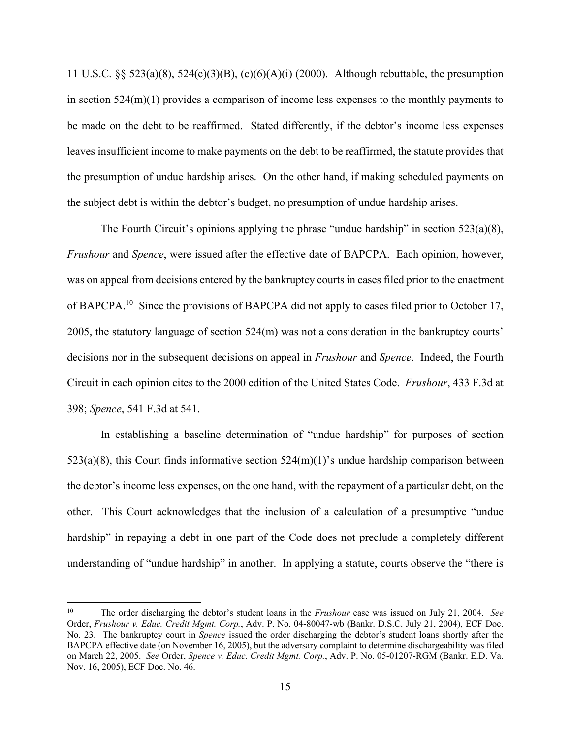11 U.S.C. §§ 523(a)(8), 524(c)(3)(B), (c)(6)(A)(i) (2000). Although rebuttable, the presumption in section 524(m)(1) provides a comparison of income less expenses to the monthly payments to be made on the debt to be reaffirmed. Stated differently, if the debtor's income less expenses leaves insufficient income to make payments on the debt to be reaffirmed, the statute provides that the presumption of undue hardship arises. On the other hand, if making scheduled payments on the subject debt is within the debtor's budget, no presumption of undue hardship arises.

The Fourth Circuit's opinions applying the phrase "undue hardship" in section  $523(a)(8)$ , *Frushour* and *Spence*, were issued after the effective date of BAPCPA. Each opinion, however, was on appeal from decisions entered by the bankruptcy courts in cases filed prior to the enactment of BAPCPA.<sup>10</sup> Since the provisions of BAPCPA did not apply to cases filed prior to October 17, 2005, the statutory language of section 524(m) was not a consideration in the bankruptcy courts' decisions nor in the subsequent decisions on appeal in *Frushour* and *Spence*. Indeed, the Fourth Circuit in each opinion cites to the 2000 edition of the United States Code. *Frushour*, 433 F.3d at 398; *Spence*, 541 F.3d at 541.

 In establishing a baseline determination of "undue hardship" for purposes of section  $523(a)(8)$ , this Court finds informative section  $524(m)(1)$ 's undue hardship comparison between the debtor's income less expenses, on the one hand, with the repayment of a particular debt, on the other. This Court acknowledges that the inclusion of a calculation of a presumptive "undue hardship" in repaying a debt in one part of the Code does not preclude a completely different understanding of "undue hardship" in another. In applying a statute, courts observe the "there is

<sup>10</sup> The order discharging the debtor's student loans in the *Frushour* case was issued on July 21, 2004. *See*  Order, *Frushour v. Educ. Credit Mgmt. Corp.*, Adv. P. No. 04-80047-wb (Bankr. D.S.C. July 21, 2004), ECF Doc. No. 23. The bankruptcy court in *Spence* issued the order discharging the debtor's student loans shortly after the BAPCPA effective date (on November 16, 2005), but the adversary complaint to determine dischargeability was filed on March 22, 2005. *See* Order, *Spence v. Educ. Credit Mgmt. Corp.*, Adv. P. No. 05-01207-RGM (Bankr. E.D. Va. Nov. 16, 2005), ECF Doc. No. 46.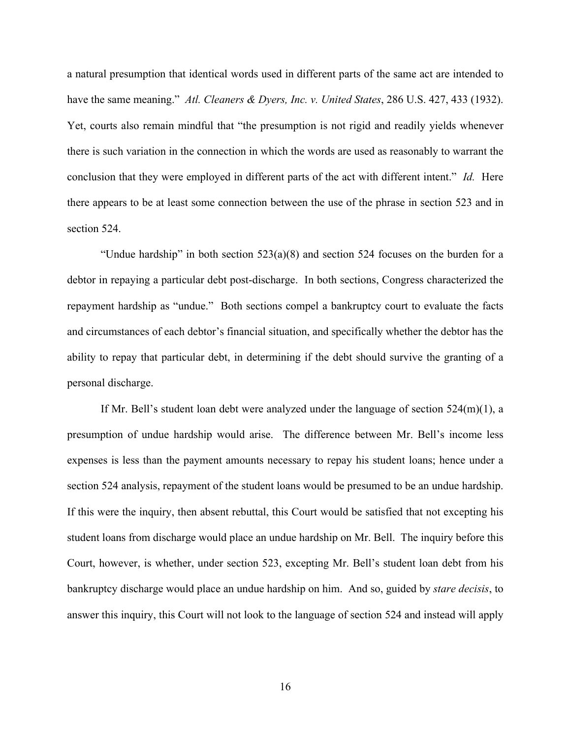a natural presumption that identical words used in different parts of the same act are intended to have the same meaning." *Atl. Cleaners & Dyers, Inc. v. United States*, 286 U.S. 427, 433 (1932). Yet, courts also remain mindful that "the presumption is not rigid and readily yields whenever there is such variation in the connection in which the words are used as reasonably to warrant the conclusion that they were employed in different parts of the act with different intent." *Id.* Here there appears to be at least some connection between the use of the phrase in section 523 and in section 524.

"Undue hardship" in both section  $523(a)(8)$  and section 524 focuses on the burden for a debtor in repaying a particular debt post-discharge. In both sections, Congress characterized the repayment hardship as "undue." Both sections compel a bankruptcy court to evaluate the facts and circumstances of each debtor's financial situation, and specifically whether the debtor has the ability to repay that particular debt, in determining if the debt should survive the granting of a personal discharge.

If Mr. Bell's student loan debt were analyzed under the language of section  $524(m)(1)$ , a presumption of undue hardship would arise. The difference between Mr. Bell's income less expenses is less than the payment amounts necessary to repay his student loans; hence under a section 524 analysis, repayment of the student loans would be presumed to be an undue hardship. If this were the inquiry, then absent rebuttal, this Court would be satisfied that not excepting his student loans from discharge would place an undue hardship on Mr. Bell. The inquiry before this Court, however, is whether, under section 523, excepting Mr. Bell's student loan debt from his bankruptcy discharge would place an undue hardship on him. And so, guided by *stare decisis*, to answer this inquiry, this Court will not look to the language of section 524 and instead will apply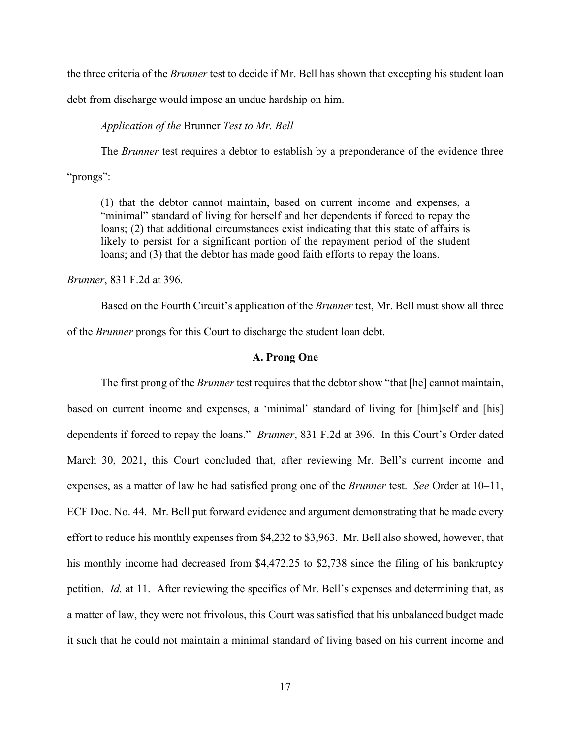the three criteria of the *Brunner* test to decide if Mr. Bell has shown that excepting his student loan

debt from discharge would impose an undue hardship on him.

 *Application of the* Brunner *Test to Mr. Bell* 

The *Brunner* test requires a debtor to establish by a preponderance of the evidence three "prongs":

(1) that the debtor cannot maintain, based on current income and expenses, a "minimal" standard of living for herself and her dependents if forced to repay the loans; (2) that additional circumstances exist indicating that this state of affairs is likely to persist for a significant portion of the repayment period of the student loans; and (3) that the debtor has made good faith efforts to repay the loans.

*Brunner*, 831 F.2d at 396.

 Based on the Fourth Circuit's application of the *Brunner* test, Mr. Bell must show all three of the *Brunner* prongs for this Court to discharge the student loan debt.

### **A. Prong One**

 The first prong of the *Brunner* test requires that the debtor show "that [he] cannot maintain, based on current income and expenses, a 'minimal' standard of living for [him]self and [his] dependents if forced to repay the loans." *Brunner*, 831 F.2d at 396. In this Court's Order dated March 30, 2021, this Court concluded that, after reviewing Mr. Bell's current income and expenses, as a matter of law he had satisfied prong one of the *Brunner* test. *See* Order at 10–11, ECF Doc. No. 44. Mr. Bell put forward evidence and argument demonstrating that he made every effort to reduce his monthly expenses from \$4,232 to \$3,963. Mr. Bell also showed, however, that his monthly income had decreased from \$4,472.25 to \$2,738 since the filing of his bankruptcy petition. *Id.* at 11. After reviewing the specifics of Mr. Bell's expenses and determining that, as a matter of law, they were not frivolous, this Court was satisfied that his unbalanced budget made it such that he could not maintain a minimal standard of living based on his current income and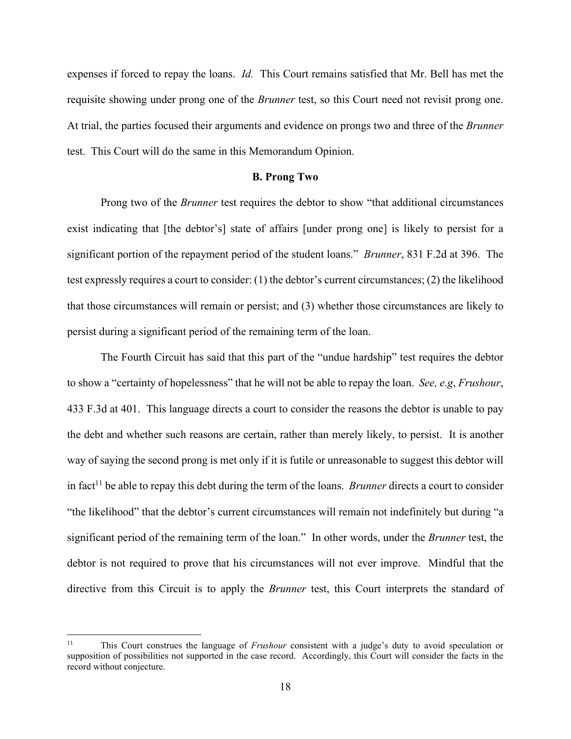expenses if forced to repay the loans. *Id.* This Court remains satisfied that Mr. Bell has met the requisite showing under prong one of the *Brunner* test, so this Court need not revisit prong one. At trial, the parties focused their arguments and evidence on prongs two and three of the *Brunner*  test. This Court will do the same in this Memorandum Opinion.

#### **B. Prong Two**

 Prong two of the *Brunner* test requires the debtor to show "that additional circumstances exist indicating that [the debtor's] state of affairs [under prong one] is likely to persist for a significant portion of the repayment period of the student loans." *Brunner*, 831 F.2d at 396. The test expressly requires a court to consider: (1) the debtor's current circumstances; (2) the likelihood that those circumstances will remain or persist; and (3) whether those circumstances are likely to persist during a significant period of the remaining term of the loan.

 The Fourth Circuit has said that this part of the "undue hardship" test requires the debtor to show a "certainty of hopelessness" that he will not be able to repay the loan. *See, e.g*, *Frushour*, 433 F.3d at 401. This language directs a court to consider the reasons the debtor is unable to pay the debt and whether such reasons are certain, rather than merely likely, to persist. It is another way of saying the second prong is met only if it is futile or unreasonable to suggest this debtor will in fact<sup>11</sup> be able to repay this debt during the term of the loans. *Brunner* directs a court to consider "the likelihood" that the debtor's current circumstances will remain not indefinitely but during "a significant period of the remaining term of the loan." In other words, under the *Brunner* test, the debtor is not required to prove that his circumstances will not ever improve. Mindful that the directive from this Circuit is to apply the *Brunner* test, this Court interprets the standard of

<sup>11</sup> This Court construes the language of *Frushour* consistent with a judge's duty to avoid speculation or supposition of possibilities not supported in the case record. Accordingly, this Court will consider the facts in the record without conjecture.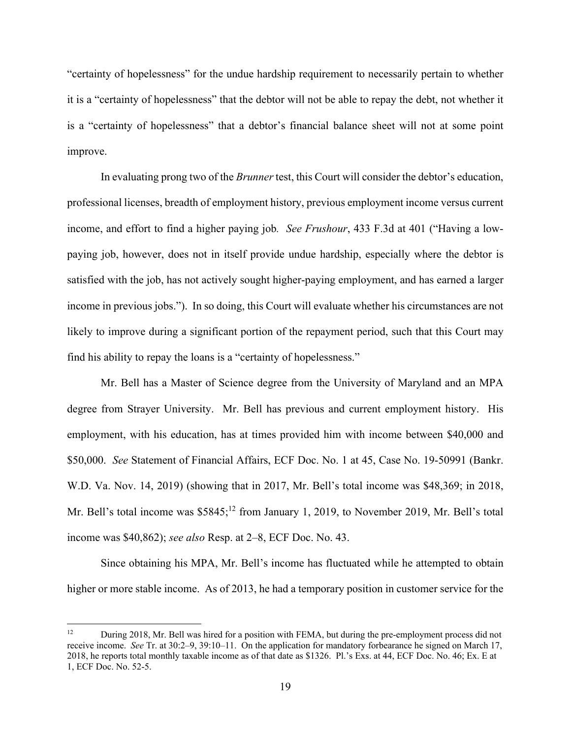"certainty of hopelessness" for the undue hardship requirement to necessarily pertain to whether it is a "certainty of hopelessness" that the debtor will not be able to repay the debt, not whether it is a "certainty of hopelessness" that a debtor's financial balance sheet will not at some point improve.

 In evaluating prong two of the *Brunner* test, this Court will consider the debtor's education, professional licenses, breadth of employment history, previous employment income versus current income, and effort to find a higher paying job*. See Frushour*, 433 F.3d at 401 ("Having a lowpaying job, however, does not in itself provide undue hardship, especially where the debtor is satisfied with the job, has not actively sought higher-paying employment, and has earned a larger income in previous jobs."). In so doing, this Court will evaluate whether his circumstances are not likely to improve during a significant portion of the repayment period, such that this Court may find his ability to repay the loans is a "certainty of hopelessness."

 Mr. Bell has a Master of Science degree from the University of Maryland and an MPA degree from Strayer University. Mr. Bell has previous and current employment history. His employment, with his education, has at times provided him with income between \$40,000 and \$50,000. *See* Statement of Financial Affairs, ECF Doc. No. 1 at 45, Case No. 19-50991 (Bankr. W.D. Va. Nov. 14, 2019) (showing that in 2017, Mr. Bell's total income was \$48,369; in 2018, Mr. Bell's total income was \$5845;<sup>12</sup> from January 1, 2019, to November 2019, Mr. Bell's total income was \$40,862); *see also* Resp. at 2–8, ECF Doc. No. 43.

 Since obtaining his MPA, Mr. Bell's income has fluctuated while he attempted to obtain higher or more stable income. As of 2013, he had a temporary position in customer service for the

<sup>&</sup>lt;sup>12</sup> During 2018, Mr. Bell was hired for a position with FEMA, but during the pre-employment process did not receive income. *See* Tr. at 30:2–9, 39:10–11. On the application for mandatory forbearance he signed on March 17, 2018, he reports total monthly taxable income as of that date as \$1326. Pl.'s Exs. at 44, ECF Doc. No. 46; Ex. E at 1, ECF Doc. No. 52-5.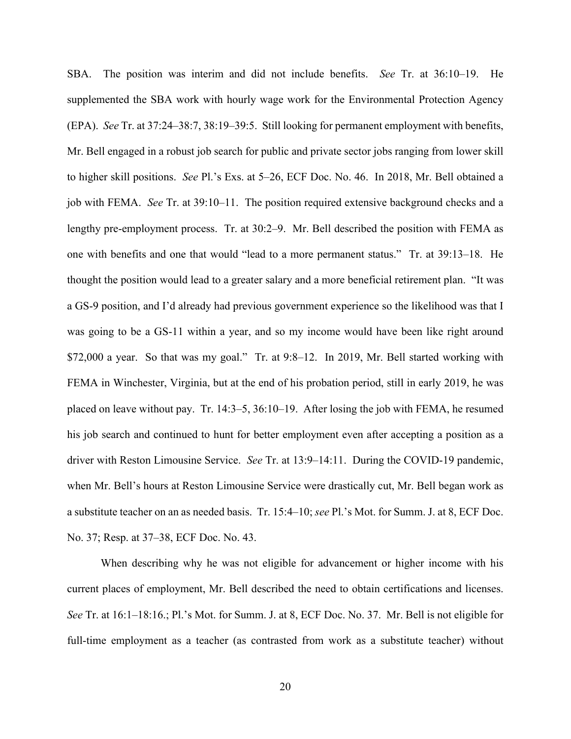SBA. The position was interim and did not include benefits. *See* Tr. at 36:10–19. He supplemented the SBA work with hourly wage work for the Environmental Protection Agency (EPA). *See* Tr. at 37:24–38:7, 38:19–39:5. Still looking for permanent employment with benefits, Mr. Bell engaged in a robust job search for public and private sector jobs ranging from lower skill to higher skill positions. *See* Pl.'s Exs. at 5–26, ECF Doc. No. 46. In 2018, Mr. Bell obtained a job with FEMA. *See* Tr. at 39:10–11. The position required extensive background checks and a lengthy pre-employment process. Tr. at 30:2–9. Mr. Bell described the position with FEMA as one with benefits and one that would "lead to a more permanent status." Tr. at 39:13–18. He thought the position would lead to a greater salary and a more beneficial retirement plan. "It was a GS-9 position, and I'd already had previous government experience so the likelihood was that I was going to be a GS-11 within a year, and so my income would have been like right around \$72,000 a year. So that was my goal." Tr. at 9:8–12. In 2019, Mr. Bell started working with FEMA in Winchester, Virginia, but at the end of his probation period, still in early 2019, he was placed on leave without pay. Tr. 14:3–5, 36:10–19. After losing the job with FEMA, he resumed his job search and continued to hunt for better employment even after accepting a position as a driver with Reston Limousine Service. *See* Tr. at 13:9–14:11. During the COVID-19 pandemic, when Mr. Bell's hours at Reston Limousine Service were drastically cut, Mr. Bell began work as a substitute teacher on an as needed basis. Tr. 15:4–10; *see* Pl.'s Mot. for Summ. J. at 8, ECF Doc. No. 37; Resp. at 37–38, ECF Doc. No. 43.

 When describing why he was not eligible for advancement or higher income with his current places of employment, Mr. Bell described the need to obtain certifications and licenses. *See* Tr. at 16:1–18:16.; Pl.'s Mot. for Summ. J. at 8, ECF Doc. No. 37. Mr. Bell is not eligible for full-time employment as a teacher (as contrasted from work as a substitute teacher) without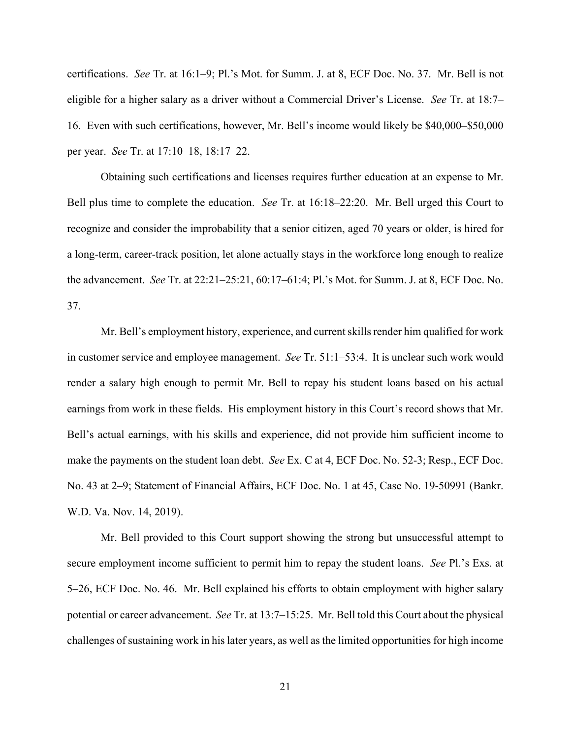certifications. *See* Tr. at 16:1–9; Pl.'s Mot. for Summ. J. at 8, ECF Doc. No. 37. Mr. Bell is not eligible for a higher salary as a driver without a Commercial Driver's License. *See* Tr. at 18:7– 16. Even with such certifications, however, Mr. Bell's income would likely be \$40,000–\$50,000 per year. *See* Tr. at 17:10–18, 18:17–22.

 Obtaining such certifications and licenses requires further education at an expense to Mr. Bell plus time to complete the education. *See* Tr. at 16:18–22:20. Mr. Bell urged this Court to recognize and consider the improbability that a senior citizen, aged 70 years or older, is hired for a long-term, career-track position, let alone actually stays in the workforce long enough to realize the advancement. *See* Tr. at 22:21–25:21, 60:17–61:4; Pl.'s Mot. for Summ. J. at 8, ECF Doc. No. 37.

 Mr. Bell's employment history, experience, and current skills render him qualified for work in customer service and employee management. *See* Tr. 51:1–53:4. It is unclear such work would render a salary high enough to permit Mr. Bell to repay his student loans based on his actual earnings from work in these fields. His employment history in this Court's record shows that Mr. Bell's actual earnings, with his skills and experience, did not provide him sufficient income to make the payments on the student loan debt. *See* Ex. C at 4, ECF Doc. No. 52-3; Resp., ECF Doc. No. 43 at 2–9; Statement of Financial Affairs, ECF Doc. No. 1 at 45, Case No. 19-50991 (Bankr. W.D. Va. Nov. 14, 2019).

 Mr. Bell provided to this Court support showing the strong but unsuccessful attempt to secure employment income sufficient to permit him to repay the student loans. *See* Pl.'s Exs. at 5–26, ECF Doc. No. 46. Mr. Bell explained his efforts to obtain employment with higher salary potential or career advancement. *See* Tr. at 13:7–15:25. Mr. Bell told this Court about the physical challenges of sustaining work in his later years, as well as the limited opportunities for high income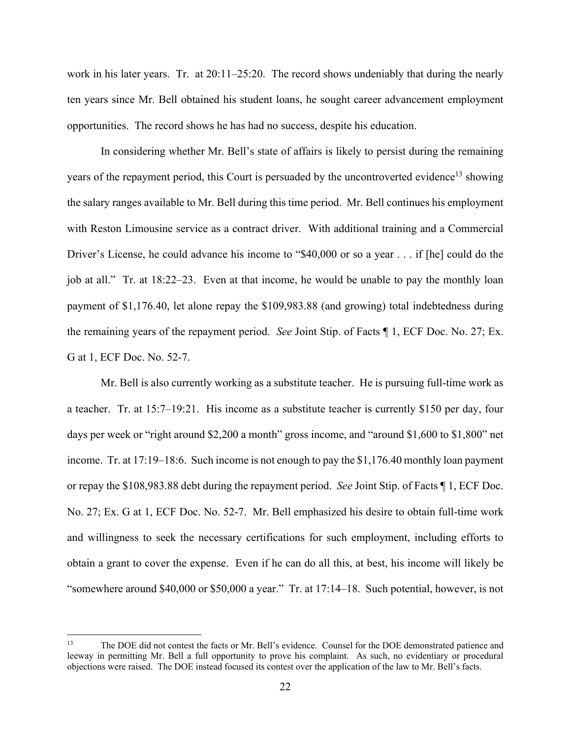work in his later years. Tr. at 20:11–25:20. The record shows undeniably that during the nearly ten years since Mr. Bell obtained his student loans, he sought career advancement employment opportunities. The record shows he has had no success, despite his education.

 In considering whether Mr. Bell's state of affairs is likely to persist during the remaining years of the repayment period, this Court is persuaded by the uncontroverted evidence<sup>13</sup> showing the salary ranges available to Mr. Bell during this time period. Mr. Bell continues his employment with Reston Limousine service as a contract driver. With additional training and a Commercial Driver's License, he could advance his income to "\$40,000 or so a year . . . if [he] could do the job at all." Tr. at 18:22–23. Even at that income, he would be unable to pay the monthly loan payment of \$1,176.40, let alone repay the \$109,983.88 (and growing) total indebtedness during the remaining years of the repayment period. *See* Joint Stip. of Facts ¶ 1, ECF Doc. No. 27; Ex. G at 1, ECF Doc. No. 52-7.

 Mr. Bell is also currently working as a substitute teacher. He is pursuing full-time work as a teacher. Tr. at 15:7–19:21. His income as a substitute teacher is currently \$150 per day, four days per week or "right around \$2,200 a month" gross income, and "around \$1,600 to \$1,800" net income. Tr. at 17:19–18:6. Such income is not enough to pay the \$1,176.40 monthly loan payment or repay the \$108,983.88 debt during the repayment period. *See* Joint Stip. of Facts ¶ 1, ECF Doc. No. 27; Ex. G at 1, ECF Doc. No. 52-7. Mr. Bell emphasized his desire to obtain full-time work and willingness to seek the necessary certifications for such employment, including efforts to obtain a grant to cover the expense. Even if he can do all this, at best, his income will likely be "somewhere around \$40,000 or \$50,000 a year." Tr. at 17:14–18. Such potential, however, is not

<sup>&</sup>lt;sup>13</sup> The DOE did not contest the facts or Mr. Bell's evidence. Counsel for the DOE demonstrated patience and leeway in permitting Mr. Bell a full opportunity to prove his complaint. As such, no evidentiary or procedural objections were raised. The DOE instead focused its contest over the application of the law to Mr. Bell's facts.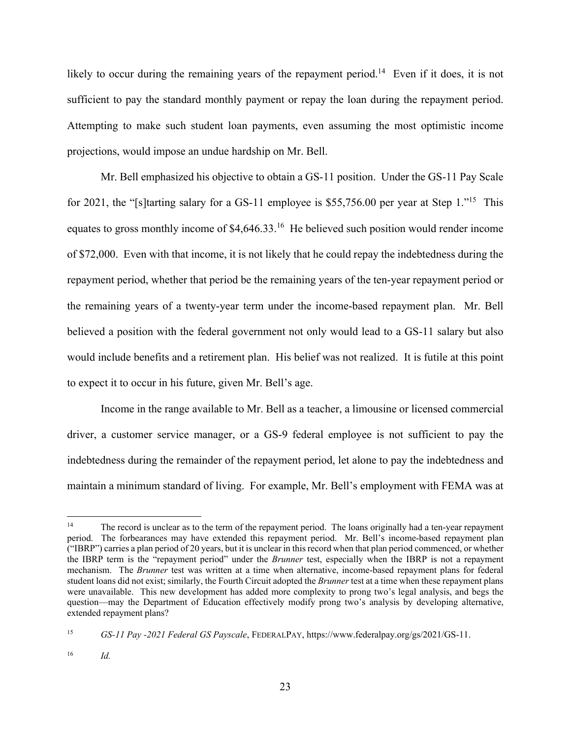likely to occur during the remaining years of the repayment period.<sup>14</sup> Even if it does, it is not sufficient to pay the standard monthly payment or repay the loan during the repayment period. Attempting to make such student loan payments, even assuming the most optimistic income projections, would impose an undue hardship on Mr. Bell.

 Mr. Bell emphasized his objective to obtain a GS-11 position. Under the GS-11 Pay Scale for 2021, the "[s]tarting salary for a GS-11 employee is \$55,756.00 per year at Step 1."15 This equates to gross monthly income of \$4,646.33.<sup>16</sup> He believed such position would render income of \$72,000. Even with that income, it is not likely that he could repay the indebtedness during the repayment period, whether that period be the remaining years of the ten-year repayment period or the remaining years of a twenty-year term under the income-based repayment plan. Mr. Bell believed a position with the federal government not only would lead to a GS-11 salary but also would include benefits and a retirement plan. His belief was not realized. It is futile at this point to expect it to occur in his future, given Mr. Bell's age.

 Income in the range available to Mr. Bell as a teacher, a limousine or licensed commercial driver, a customer service manager, or a GS-9 federal employee is not sufficient to pay the indebtedness during the remainder of the repayment period, let alone to pay the indebtedness and maintain a minimum standard of living. For example, Mr. Bell's employment with FEMA was at

<sup>&</sup>lt;sup>14</sup> The record is unclear as to the term of the repayment period. The loans originally had a ten-year repayment period. The forbearances may have extended this repayment period. Mr. Bell's income-based repayment plan ("IBRP") carries a plan period of 20 years, but it is unclear in this record when that plan period commenced, or whether the IBRP term is the "repayment period" under the *Brunner* test, especially when the IBRP is not a repayment mechanism. The *Brunner* test was written at a time when alternative, income-based repayment plans for federal student loans did not exist; similarly, the Fourth Circuit adopted the *Brunner* test at a time when these repayment plans were unavailable. This new development has added more complexity to prong two's legal analysis, and begs the question—may the Department of Education effectively modify prong two's analysis by developing alternative, extended repayment plans?

<sup>15</sup> *GS-11 Pay -2021 Federal GS Payscale*, FEDERALPAY, https://www.federalpay.org/gs/2021/GS-11.

<sup>16</sup> *Id.*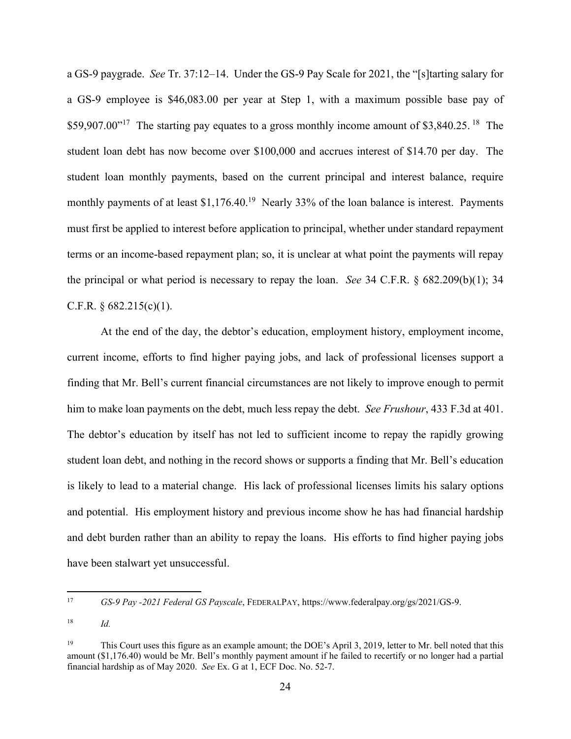a GS-9 paygrade. *See* Tr. 37:12–14. Under the GS-9 Pay Scale for 2021, the "[s]tarting salary for a GS-9 employee is \$46,083.00 per year at Step 1, with a maximum possible base pay of \$59,907.00 $^{17}$  The starting pay equates to a gross monthly income amount of \$3,840.25. <sup>18</sup> The student loan debt has now become over \$100,000 and accrues interest of \$14.70 per day. The student loan monthly payments, based on the current principal and interest balance, require monthly payments of at least  $$1,176.40$ <sup>19</sup> Nearly 33% of the loan balance is interest. Payments must first be applied to interest before application to principal, whether under standard repayment terms or an income-based repayment plan; so, it is unclear at what point the payments will repay the principal or what period is necessary to repay the loan. *See* 34 C.F.R. § 682.209(b)(1); 34 C.F.R.  $\S 682.215(c)(1)$ .

 At the end of the day, the debtor's education, employment history, employment income, current income, efforts to find higher paying jobs, and lack of professional licenses support a finding that Mr. Bell's current financial circumstances are not likely to improve enough to permit him to make loan payments on the debt, much less repay the debt. *See Frushour*, 433 F.3d at 401. The debtor's education by itself has not led to sufficient income to repay the rapidly growing student loan debt, and nothing in the record shows or supports a finding that Mr. Bell's education is likely to lead to a material change. His lack of professional licenses limits his salary options and potential. His employment history and previous income show he has had financial hardship and debt burden rather than an ability to repay the loans. His efforts to find higher paying jobs have been stalwart yet unsuccessful.

<sup>17</sup> *GS-9 Pay -2021 Federal GS Payscale*, FEDERALPAY, https://www.federalpay.org/gs/2021/GS-9.

 $18$  *Id.* 

<sup>&</sup>lt;sup>19</sup> This Court uses this figure as an example amount; the DOE's April 3, 2019, letter to Mr. bell noted that this amount (\$1,176.40) would be Mr. Bell's monthly payment amount if he failed to recertify or no longer had a partial financial hardship as of May 2020. *See* Ex. G at 1, ECF Doc. No. 52-7.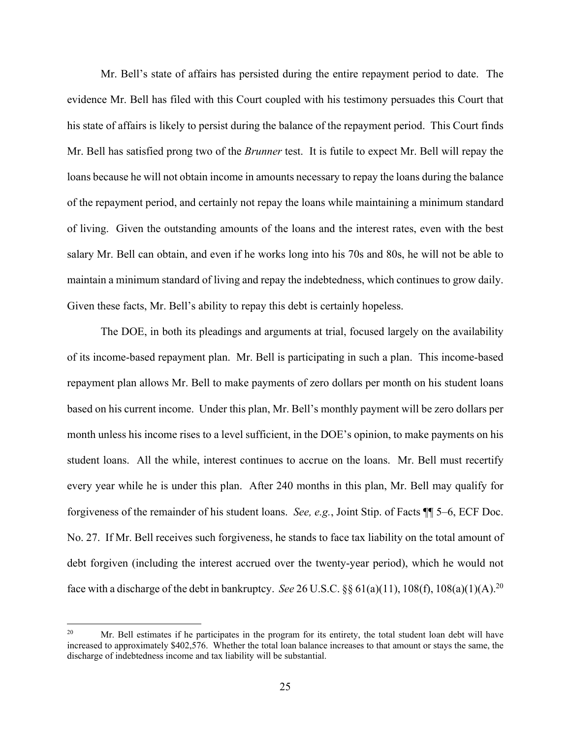Mr. Bell's state of affairs has persisted during the entire repayment period to date. The evidence Mr. Bell has filed with this Court coupled with his testimony persuades this Court that his state of affairs is likely to persist during the balance of the repayment period. This Court finds Mr. Bell has satisfied prong two of the *Brunner* test. It is futile to expect Mr. Bell will repay the loans because he will not obtain income in amounts necessary to repay the loans during the balance of the repayment period, and certainly not repay the loans while maintaining a minimum standard of living. Given the outstanding amounts of the loans and the interest rates, even with the best salary Mr. Bell can obtain, and even if he works long into his 70s and 80s, he will not be able to maintain a minimum standard of living and repay the indebtedness, which continues to grow daily. Given these facts, Mr. Bell's ability to repay this debt is certainly hopeless.

 The DOE, in both its pleadings and arguments at trial, focused largely on the availability of its income-based repayment plan. Mr. Bell is participating in such a plan. This income-based repayment plan allows Mr. Bell to make payments of zero dollars per month on his student loans based on his current income. Under this plan, Mr. Bell's monthly payment will be zero dollars per month unless his income rises to a level sufficient, in the DOE's opinion, to make payments on his student loans. All the while, interest continues to accrue on the loans. Mr. Bell must recertify every year while he is under this plan. After 240 months in this plan, Mr. Bell may qualify for forgiveness of the remainder of his student loans. *See, e.g.*, Joint Stip. of Facts ¶¶ 5–6, ECF Doc. No. 27. If Mr. Bell receives such forgiveness, he stands to face tax liability on the total amount of debt forgiven (including the interest accrued over the twenty-year period), which he would not face with a discharge of the debt in bankruptcy. *See* 26 U.S.C. §§ 61(a)(11), 108(f), 108(a)(1)(A).<sup>20</sup>

<sup>&</sup>lt;sup>20</sup> Mr. Bell estimates if he participates in the program for its entirety, the total student loan debt will have increased to approximately \$402,576. Whether the total loan balance increases to that amount or stays the same, the discharge of indebtedness income and tax liability will be substantial.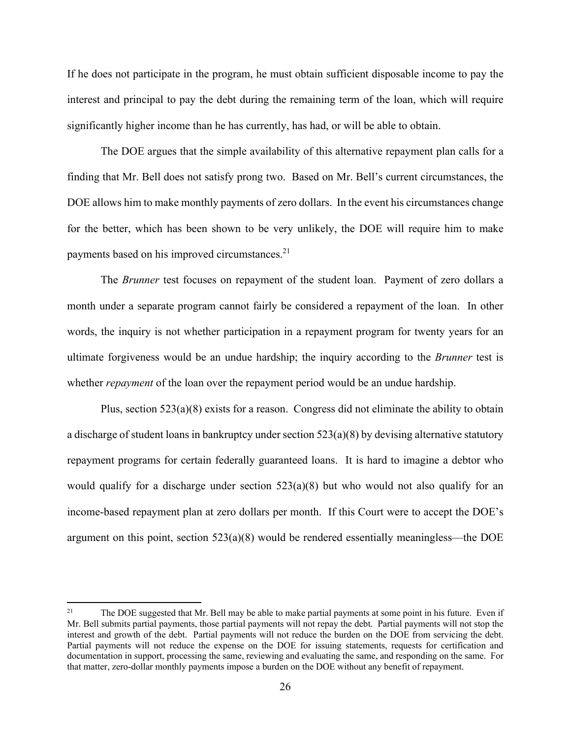If he does not participate in the program, he must obtain sufficient disposable income to pay the interest and principal to pay the debt during the remaining term of the loan, which will require significantly higher income than he has currently, has had, or will be able to obtain.

 The DOE argues that the simple availability of this alternative repayment plan calls for a finding that Mr. Bell does not satisfy prong two. Based on Mr. Bell's current circumstances, the DOE allows him to make monthly payments of zero dollars. In the event his circumstances change for the better, which has been shown to be very unlikely, the DOE will require him to make payments based on his improved circumstances.<sup>21</sup>

 The *Brunner* test focuses on repayment of the student loan. Payment of zero dollars a month under a separate program cannot fairly be considered a repayment of the loan. In other words, the inquiry is not whether participation in a repayment program for twenty years for an ultimate forgiveness would be an undue hardship; the inquiry according to the *Brunner* test is whether *repayment* of the loan over the repayment period would be an undue hardship.

 Plus, section 523(a)(8) exists for a reason. Congress did not eliminate the ability to obtain a discharge of student loans in bankruptcy under section 523(a)(8) by devising alternative statutory repayment programs for certain federally guaranteed loans. It is hard to imagine a debtor who would qualify for a discharge under section 523(a)(8) but who would not also qualify for an income-based repayment plan at zero dollars per month. If this Court were to accept the DOE's argument on this point, section 523(a)(8) would be rendered essentially meaningless—the DOE

<sup>&</sup>lt;sup>21</sup> The DOE suggested that Mr. Bell may be able to make partial payments at some point in his future. Even if Mr. Bell submits partial payments, those partial payments will not repay the debt. Partial payments will not stop the interest and growth of the debt. Partial payments will not reduce the burden on the DOE from servicing the debt. Partial payments will not reduce the expense on the DOE for issuing statements, requests for certification and documentation in support, processing the same, reviewing and evaluating the same, and responding on the same. For that matter, zero-dollar monthly payments impose a burden on the DOE without any benefit of repayment.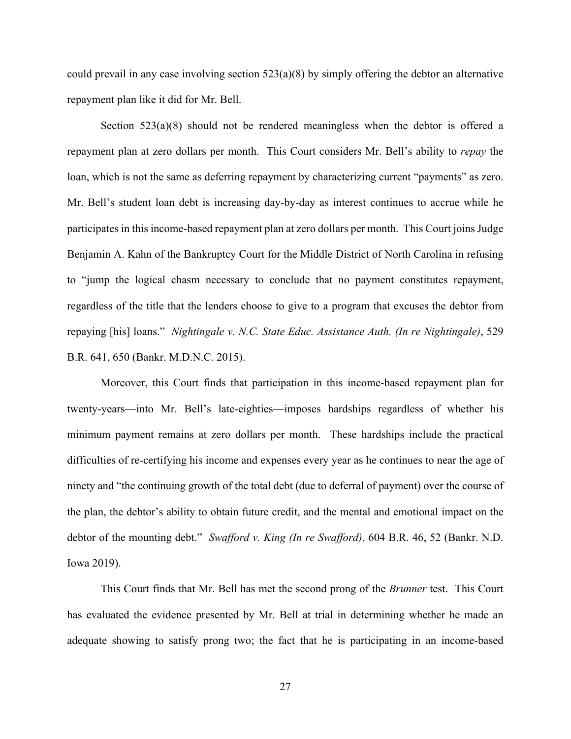could prevail in any case involving section  $523(a)(8)$  by simply offering the debtor an alternative repayment plan like it did for Mr. Bell.

Section  $523(a)(8)$  should not be rendered meaningless when the debtor is offered a repayment plan at zero dollars per month. This Court considers Mr. Bell's ability to *repay* the loan, which is not the same as deferring repayment by characterizing current "payments" as zero. Mr. Bell's student loan debt is increasing day-by-day as interest continues to accrue while he participates in this income-based repayment plan at zero dollars per month. This Court joins Judge Benjamin A. Kahn of the Bankruptcy Court for the Middle District of North Carolina in refusing to "jump the logical chasm necessary to conclude that no payment constitutes repayment, regardless of the title that the lenders choose to give to a program that excuses the debtor from repaying [his] loans." *Nightingale v. N.C. State Educ. Assistance Auth. (In re Nightingale)*, 529 B.R. 641, 650 (Bankr. M.D.N.C. 2015).

 Moreover, this Court finds that participation in this income-based repayment plan for twenty-years—into Mr. Bell's late-eighties—imposes hardships regardless of whether his minimum payment remains at zero dollars per month. These hardships include the practical difficulties of re-certifying his income and expenses every year as he continues to near the age of ninety and "the continuing growth of the total debt (due to deferral of payment) over the course of the plan, the debtor's ability to obtain future credit, and the mental and emotional impact on the debtor of the mounting debt." *Swafford v. King (In re Swafford)*, 604 B.R. 46, 52 (Bankr. N.D. Iowa 2019).

 This Court finds that Mr. Bell has met the second prong of the *Brunner* test. This Court has evaluated the evidence presented by Mr. Bell at trial in determining whether he made an adequate showing to satisfy prong two; the fact that he is participating in an income-based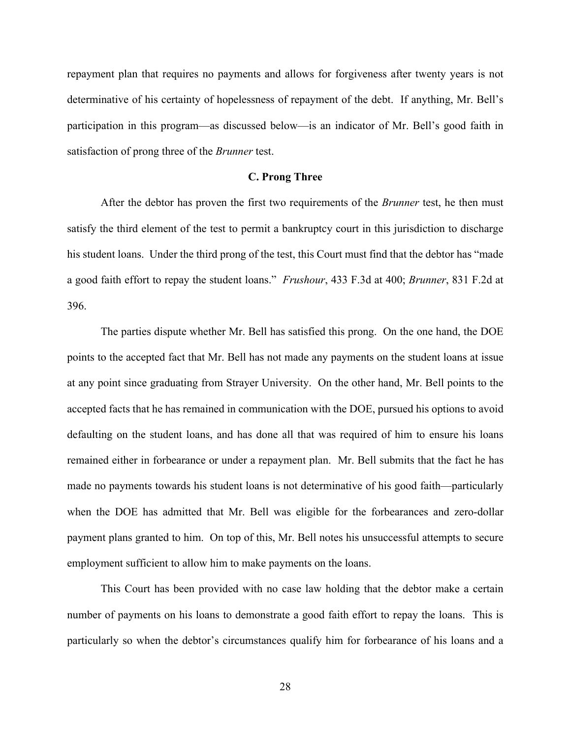repayment plan that requires no payments and allows for forgiveness after twenty years is not determinative of his certainty of hopelessness of repayment of the debt. If anything, Mr. Bell's participation in this program—as discussed below—is an indicator of Mr. Bell's good faith in satisfaction of prong three of the *Brunner* test.

### **C. Prong Three**

After the debtor has proven the first two requirements of the *Brunner* test, he then must satisfy the third element of the test to permit a bankruptcy court in this jurisdiction to discharge his student loans. Under the third prong of the test, this Court must find that the debtor has "made a good faith effort to repay the student loans." *Frushour*, 433 F.3d at 400; *Brunner*, 831 F.2d at 396.

 The parties dispute whether Mr. Bell has satisfied this prong. On the one hand, the DOE points to the accepted fact that Mr. Bell has not made any payments on the student loans at issue at any point since graduating from Strayer University. On the other hand, Mr. Bell points to the accepted facts that he has remained in communication with the DOE, pursued his options to avoid defaulting on the student loans, and has done all that was required of him to ensure his loans remained either in forbearance or under a repayment plan. Mr. Bell submits that the fact he has made no payments towards his student loans is not determinative of his good faith—particularly when the DOE has admitted that Mr. Bell was eligible for the forbearances and zero-dollar payment plans granted to him. On top of this, Mr. Bell notes his unsuccessful attempts to secure employment sufficient to allow him to make payments on the loans.

 This Court has been provided with no case law holding that the debtor make a certain number of payments on his loans to demonstrate a good faith effort to repay the loans. This is particularly so when the debtor's circumstances qualify him for forbearance of his loans and a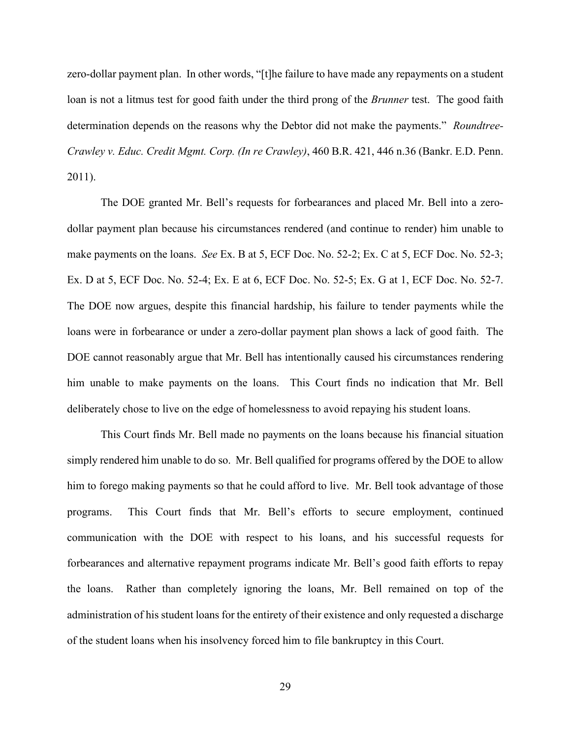zero-dollar payment plan. In other words, "[t]he failure to have made any repayments on a student loan is not a litmus test for good faith under the third prong of the *Brunner* test. The good faith determination depends on the reasons why the Debtor did not make the payments." *Roundtree-Crawley v. Educ. Credit Mgmt. Corp. (In re Crawley)*, 460 B.R. 421, 446 n.36 (Bankr. E.D. Penn. 2011).

 The DOE granted Mr. Bell's requests for forbearances and placed Mr. Bell into a zerodollar payment plan because his circumstances rendered (and continue to render) him unable to make payments on the loans. *See* Ex. B at 5, ECF Doc. No. 52-2; Ex. C at 5, ECF Doc. No. 52-3; Ex. D at 5, ECF Doc. No. 52-4; Ex. E at 6, ECF Doc. No. 52-5; Ex. G at 1, ECF Doc. No. 52-7. The DOE now argues, despite this financial hardship, his failure to tender payments while the loans were in forbearance or under a zero-dollar payment plan shows a lack of good faith. The DOE cannot reasonably argue that Mr. Bell has intentionally caused his circumstances rendering him unable to make payments on the loans. This Court finds no indication that Mr. Bell deliberately chose to live on the edge of homelessness to avoid repaying his student loans.

 This Court finds Mr. Bell made no payments on the loans because his financial situation simply rendered him unable to do so. Mr. Bell qualified for programs offered by the DOE to allow him to forego making payments so that he could afford to live. Mr. Bell took advantage of those programs. This Court finds that Mr. Bell's efforts to secure employment, continued communication with the DOE with respect to his loans, and his successful requests for forbearances and alternative repayment programs indicate Mr. Bell's good faith efforts to repay the loans. Rather than completely ignoring the loans, Mr. Bell remained on top of the administration of his student loans for the entirety of their existence and only requested a discharge of the student loans when his insolvency forced him to file bankruptcy in this Court.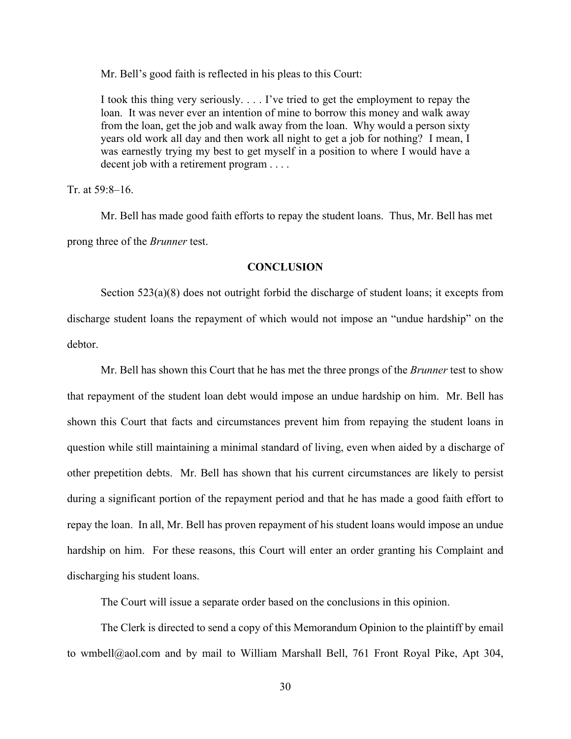Mr. Bell's good faith is reflected in his pleas to this Court:

I took this thing very seriously. . . . I've tried to get the employment to repay the loan. It was never ever an intention of mine to borrow this money and walk away from the loan, get the job and walk away from the loan. Why would a person sixty years old work all day and then work all night to get a job for nothing? I mean, I was earnestly trying my best to get myself in a position to where I would have a decent job with a retirement program . . . .

Tr. at 59:8–16.

 Mr. Bell has made good faith efforts to repay the student loans. Thus, Mr. Bell has met prong three of the *Brunner* test.

# **CONCLUSION**

 Section 523(a)(8) does not outright forbid the discharge of student loans; it excepts from discharge student loans the repayment of which would not impose an "undue hardship" on the debtor.

 Mr. Bell has shown this Court that he has met the three prongs of the *Brunner* test to show that repayment of the student loan debt would impose an undue hardship on him. Mr. Bell has shown this Court that facts and circumstances prevent him from repaying the student loans in question while still maintaining a minimal standard of living, even when aided by a discharge of other prepetition debts. Mr. Bell has shown that his current circumstances are likely to persist during a significant portion of the repayment period and that he has made a good faith effort to repay the loan. In all, Mr. Bell has proven repayment of his student loans would impose an undue hardship on him. For these reasons, this Court will enter an order granting his Complaint and discharging his student loans.

The Court will issue a separate order based on the conclusions in this opinion.

 The Clerk is directed to send a copy of this Memorandum Opinion to the plaintiff by email to wmbell@aol.com and by mail to William Marshall Bell, 761 Front Royal Pike, Apt 304,